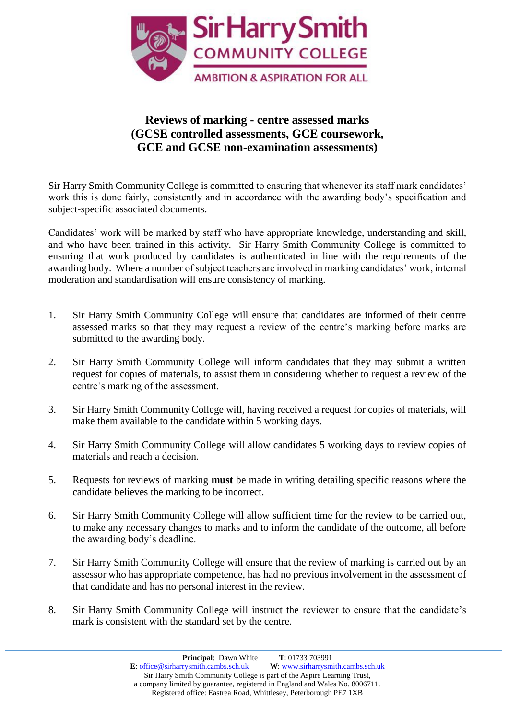

## **Reviews of marking - centre assessed marks (GCSE controlled assessments, GCE coursework, GCE and GCSE non-examination assessments)**

Sir Harry Smith Community College is committed to ensuring that whenever its staff mark candidates' work this is done fairly, consistently and in accordance with the awarding body's specification and subject-specific associated documents.

Candidates' work will be marked by staff who have appropriate knowledge, understanding and skill, and who have been trained in this activity. Sir Harry Smith Community College is committed to ensuring that work produced by candidates is authenticated in line with the requirements of the awarding body. Where a number of subject teachers are involved in marking candidates' work, internal moderation and standardisation will ensure consistency of marking.

- 1. Sir Harry Smith Community College will ensure that candidates are informed of their centre assessed marks so that they may request a review of the centre's marking before marks are submitted to the awarding body.
- 2. Sir Harry Smith Community College will inform candidates that they may submit a written request for copies of materials, to assist them in considering whether to request a review of the centre's marking of the assessment.
- 3. Sir Harry Smith Community College will, having received a request for copies of materials, will make them available to the candidate within 5 working days.
- 4. Sir Harry Smith Community College will allow candidates 5 working days to review copies of materials and reach a decision.
- 5. Requests for reviews of marking **must** be made in writing detailing specific reasons where the candidate believes the marking to be incorrect.
- 6. Sir Harry Smith Community College will allow sufficient time for the review to be carried out, to make any necessary changes to marks and to inform the candidate of the outcome, all before the awarding body's deadline.
- 7. Sir Harry Smith Community College will ensure that the review of marking is carried out by an assessor who has appropriate competence, has had no previous involvement in the assessment of that candidate and has no personal interest in the review.
- 8. Sir Harry Smith Community College will instruct the reviewer to ensure that the candidate's mark is consistent with the standard set by the centre.